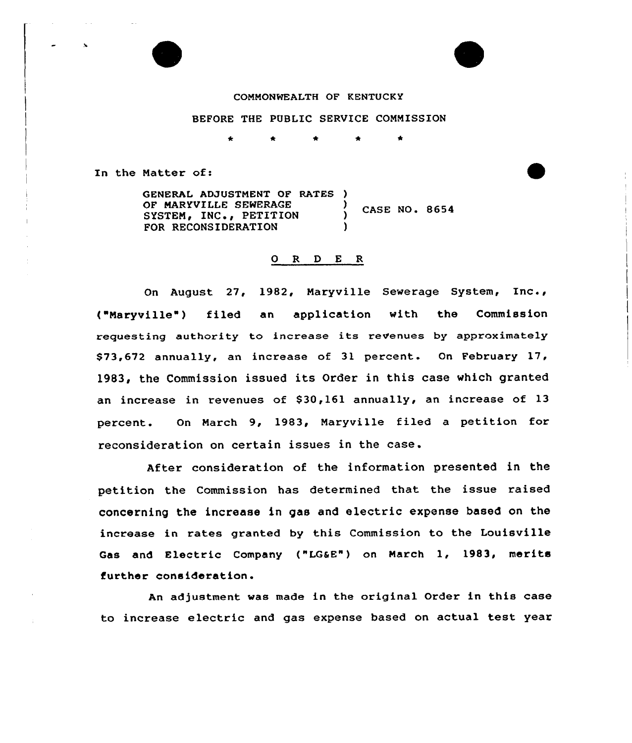#### COMMONWEALTH OF KENTUCKY

# BEFORE THE PUBLIC SERVICE COMMISSION

In the Matter of:

GENERAL ADJUSTMENT OF RATES ) OF MARYVILLE SEWERAGE (CASE NO. 8654 SYSTEM, INC., PETITION FOR RECONSIDERATION

## 0 <sup>R</sup> <sup>D</sup> <sup>E</sup> <sup>R</sup>

On August 27, 1982, Maryville Sewerage System, Xnc., ("Maryville ) filed an application with the Commission requesting authority to increase its revenues by approximately \$73,672 annually, an increase of 31 percent. On February 17, 1983, the Commission issued its Order in this case which granted an increase in revenues of \$30,161 annually, an increase of 13 percent. On March 9, 1983, Maryville filed a petition for reconsideration on certain issues in the case.

After consideration of the information presented in the petition the Commission has determined that the issue raised concerning the increase in gas and electric expense based on the increase in rates granted by this Commission to the Louisville Gas and Electric Company ("LGaE") on March 1, 1983, merits further consideration.

An adjustment was made in the original Order in this case to increase electric and gas expense based on actual test year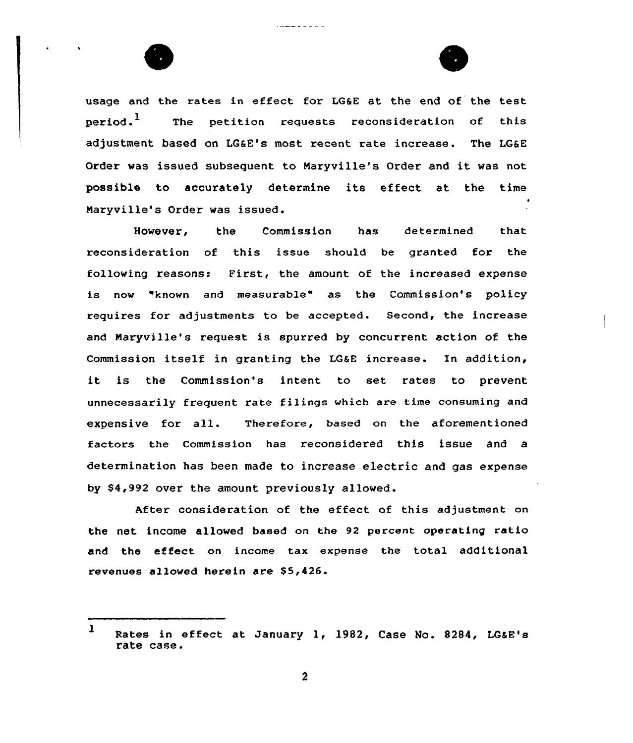



usage and the rates in effect for LG&E at the end of the test  $period.$ <sup>1</sup> The petition requests reconsideration of this adjustment based on LGSE's most recent rate increase. The LG&E Order was issued subsequent to Haryville's Order and it was not possible to accurately determine its effect at the time Naryville's Order was issued.

and the state of the

However, the Commission has determined that reconsideration of this issue should be granted for the following reasons: First, the amount of the increased expense is now "known and measurable" as the Commission's policy requires for adjustments to be accepted. Second, the increase and Naryville's xequest is spurred by concurrent action of the Commission itself in granting the LG&E increase. In addition, it is the Commission's intent to set rates to prevent unnecessarily frequent rate filings which are time consuming and expensive for all. Therefore, based on the aforementioned factors the commission has reconsidered this issue and a determination has been made to increase electric and gas expense by \$4,992 over the amount previously allowed.

After consideration of the effect of this adjustment on the net income allowed based on the 92 percent operating ratio and the effect on income tax expense the total additional revenues allowed herein are \$5,426.

<sup>1</sup> Rates in effect at January 1, 1982, Case No. 8284, LG&E's rate case.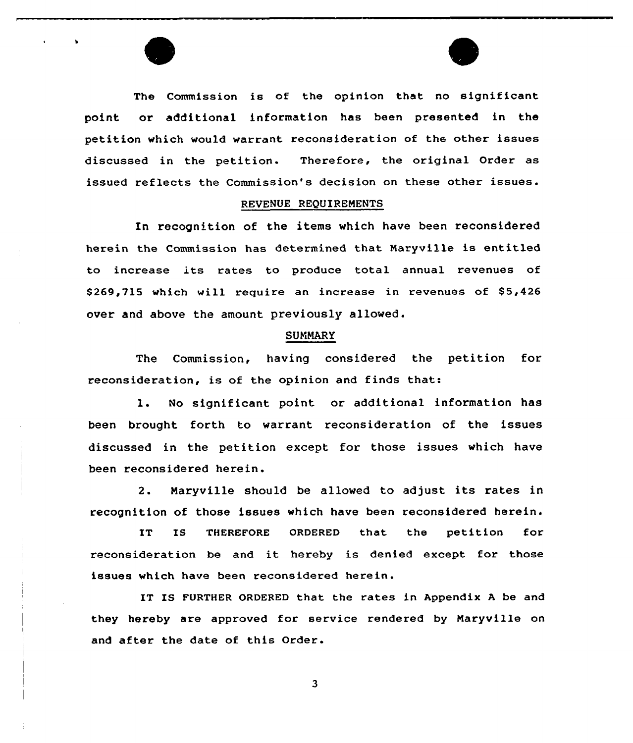The Commission is of the opinion that no significant point or additional information has been presented in the petition which would warrant reconsideration of the other issues discussed in the petition. Therefore, the original Order as issued reflects the Commission's decision on these other issues.

#### REVENUE REQUIREMENTS

In recognition of the items which have been reconsidered herein the Commission has determined that Maryville is entitled to increase its rates to produce total annual revenues of \$269,715 which will require an increase in revenues of \$5,426 over and above the amount previously allowed.

## SUMMARY

The Commission, having considered the petition for reconsideration, is of the opinion and finds that:

l. No significant point or additional information has been brought forth to warrant reconsideration of the issues discussed in the petition except for those issues which have been reconsidered herein.

2. Naryville should be allowed to adjust its rates in recognition of those issues which have been reconsidered herein.

IT IS THEREFORE ORDERED that the petition for reconsideration be and it hereby is denied except for those issues which have been reconsidered herein.

IT IS FURTHER ORDERED that the rates in Appendix <sup>A</sup> be and they hereby are approved for service rendered by Naryville on and after the date of this Order.

 $\mathbf{3}$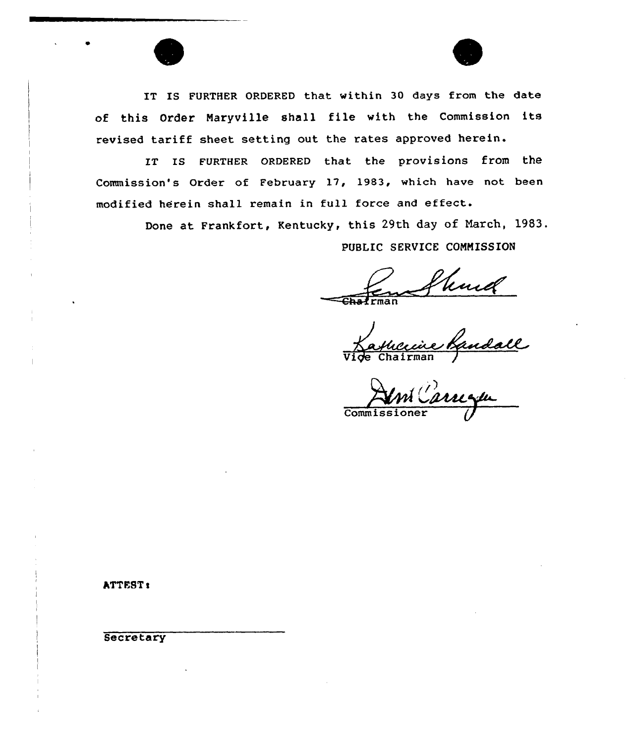IT IS FURTHER ORDERED that within 30 days from the date of this Order Naryville shall file with the Commission its revised tariff sheet setting out the rates approved herein.

IT ts FURTHER 0RDERED that the provisions from the Commission's Order of February 17, 1983, which have not been modified herein shall remain in full force and effect.

Done at Frankfort, Kentucky, this 29th day of March, 1983.

PUBLIC SERVICE CONNISSION

~"=~ rman

Vice Chairman

**Commissioner** 

**ATTEST:** 

**Secretary**